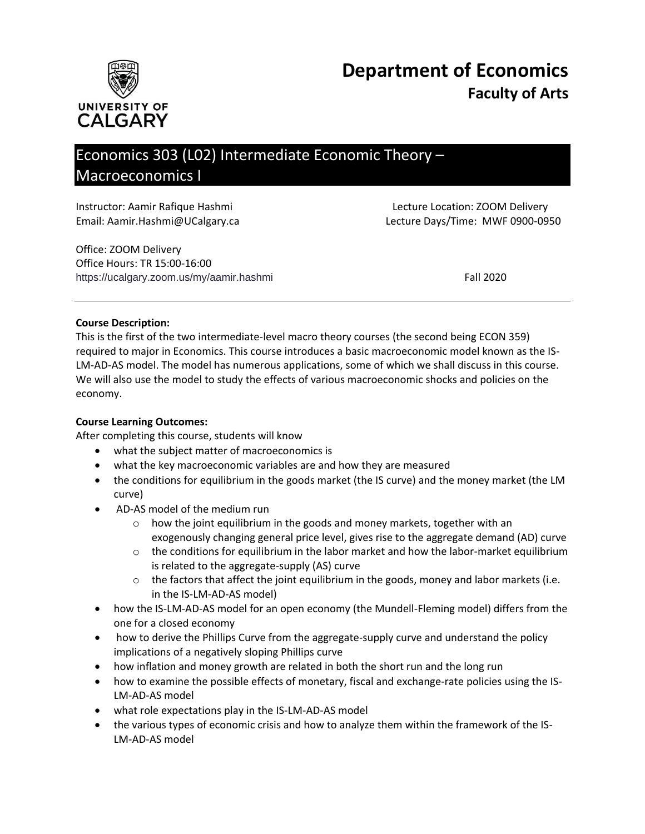



# Economics 303 (L02) Intermediate Economic Theory – Macroeconomics I

Instructor: Aamir Rafique Hashmi Lecture Location: ZOOM Delivery

Email: Aamir.Hashmi@UCalgary.ca Lecture Days/Time: MWF 0900-0950

Office: ZOOM Delivery Office Hours: TR 15:00-16:00 https://ucalgary.zoom.us/my/aamir.hashmi Fall 2020

## **Course Description:**

This is the first of the two intermediate-level macro theory courses (the second being ECON 359) required to major in Economics. This course introduces a basic macroeconomic model known as the IS-LM-AD-AS model. The model has numerous applications, some of which we shall discuss in this course. We will also use the model to study the effects of various macroeconomic shocks and policies on the economy.

#### **Course Learning Outcomes:**

After completing this course, students will know

- what the subject matter of macroeconomics is
- what the key macroeconomic variables are and how they are measured
- the conditions for equilibrium in the goods market (the IS curve) and the money market (the LM curve)
- AD-AS model of the medium run
	- o how the joint equilibrium in the goods and money markets, together with an exogenously changing general price level, gives rise to the aggregate demand (AD) curve
	- $\circ$  the conditions for equilibrium in the labor market and how the labor-market equilibrium is related to the aggregate-supply (AS) curve
	- $\circ$  the factors that affect the joint equilibrium in the goods, money and labor markets (i.e. in the IS-LM-AD-AS model)
- how the IS-LM-AD-AS model for an open economy (the Mundell-Fleming model) differs from the one for a closed economy
- how to derive the Phillips Curve from the aggregate-supply curve and understand the policy implications of a negatively sloping Phillips curve
- how inflation and money growth are related in both the short run and the long run
- how to examine the possible effects of monetary, fiscal and exchange-rate policies using the IS-LM-AD-AS model
- what role expectations play in the IS-LM-AD-AS model
- the various types of economic crisis and how to analyze them within the framework of the IS-LM-AD-AS model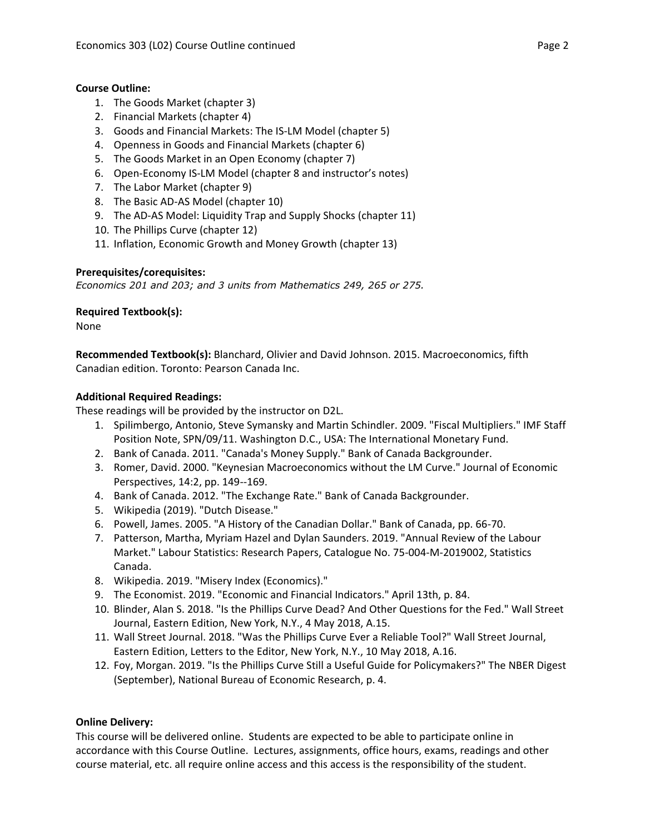## **Course Outline:**

- 1. The Goods Market (chapter 3)
- 2. Financial Markets (chapter 4)
- 3. Goods and Financial Markets: The IS-LM Model (chapter 5)
- 4. Openness in Goods and Financial Markets (chapter 6)
- 5. The Goods Market in an Open Economy (chapter 7)
- 6. Open-Economy IS-LM Model (chapter 8 and instructor's notes)
- 7. The Labor Market (chapter 9)
- 8. The Basic AD-AS Model (chapter 10)
- 9. The AD-AS Model: Liquidity Trap and Supply Shocks (chapter 11)
- 10. The Phillips Curve (chapter 12)
- 11. Inflation, Economic Growth and Money Growth (chapter 13)

#### **Prerequisites/corequisites:**

*Economics 201 and 203; and 3 units from Mathematics 249, 265 or 275.*

## **Required Textbook(s):**

None

**Recommended Textbook(s):** Blanchard, Olivier and David Johnson. 2015. Macroeconomics, fifth Canadian edition. Toronto: Pearson Canada Inc.

## **Additional Required Readings:**

These readings will be provided by the instructor on D2L.

- 1. Spilimbergo, Antonio, Steve Symansky and Martin Schindler. 2009. "Fiscal Multipliers." IMF Staff Position Note, SPN/09/11. Washington D.C., USA: The International Monetary Fund.
- 2. Bank of Canada. 2011. "Canada's Money Supply." Bank of Canada Backgrounder.
- 3. Romer, David. 2000. "Keynesian Macroeconomics without the LM Curve." Journal of Economic Perspectives, 14:2, pp. 149--169.
- 4. Bank of Canada. 2012. "The Exchange Rate." Bank of Canada Backgrounder.
- 5. Wikipedia (2019). "Dutch Disease."
- 6. Powell, James. 2005. "A History of the Canadian Dollar." Bank of Canada, pp. 66-70.
- 7. Patterson, Martha, Myriam Hazel and Dylan Saunders. 2019. "Annual Review of the Labour Market." Labour Statistics: Research Papers, Catalogue No. 75-004-M-2019002, Statistics Canada.
- 8. Wikipedia. 2019. "Misery Index (Economics)."
- 9. The Economist. 2019. "Economic and Financial Indicators." April 13th, p. 84.
- 10. Blinder, Alan S. 2018. "Is the Phillips Curve Dead? And Other Questions for the Fed." Wall Street Journal, Eastern Edition, New York, N.Y., 4 May 2018, A.15.
- 11. Wall Street Journal. 2018. "Was the Phillips Curve Ever a Reliable Tool?" Wall Street Journal, Eastern Edition, Letters to the Editor, New York, N.Y., 10 May 2018, A.16.
- 12. Foy, Morgan. 2019. "Is the Phillips Curve Still a Useful Guide for Policymakers?" The NBER Digest (September), National Bureau of Economic Research, p. 4.

#### **Online Delivery:**

This course will be delivered online. Students are expected to be able to participate online in accordance with this Course Outline. Lectures, assignments, office hours, exams, readings and other course material, etc. all require online access and this access is the responsibility of the student.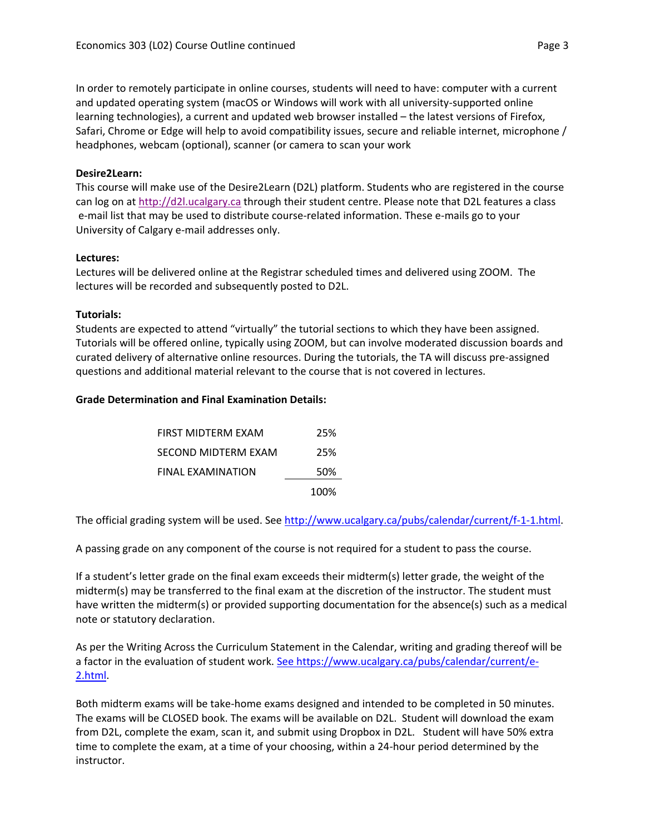In order to remotely participate in online courses, students will need to have: computer with a current and updated operating system (macOS or Windows will work with all university-supported online learning technologies), a current and updated web browser installed – the latest versions of Firefox, Safari, Chrome or Edge will help to avoid compatibility issues, secure and reliable internet, microphone / headphones, webcam (optional), scanner (or camera to scan your work

# **Desire2Learn:**

This course will make use of the Desire2Learn (D2L) platform. Students who are registered in the course can log on a[t http://d2l.ucalgary.ca](http://d2l.ucalgary.ca/) through their student centre. Please note that D2L features a class e-mail list that may be used to distribute course-related information. These e-mails go to your University of Calgary e-mail addresses only.

## **Lectures:**

Lectures will be delivered online at the Registrar scheduled times and delivered using ZOOM. The lectures will be recorded and subsequently posted to D2L.

## **Tutorials:**

Students are expected to attend "virtually" the tutorial sections to which they have been assigned. Tutorials will be offered online, typically using ZOOM, but can involve moderated discussion boards and curated delivery of alternative online resources. During the tutorials, the TA will discuss pre-assigned questions and additional material relevant to the course that is not covered in lectures.

## **Grade Determination and Final Examination Details:**

|                     | 100% |
|---------------------|------|
| FINAL EXAMINATION   | 50%  |
| SECOND MIDTERM EXAM | 25%  |
| FIRST MIDTERM EXAM  | 25%  |

The official grading system will be used. See [http://www.ucalgary.ca/pubs/calendar/current/f-1-1.html.](http://www.ucalgary.ca/pubs/calendar/current/f-1-1.html)

A passing grade on any component of the course is not required for a student to pass the course.

If a student's letter grade on the final exam exceeds their midterm(s) letter grade, the weight of the midterm(s) may be transferred to the final exam at the discretion of the instructor. The student must have written the midterm(s) or provided supporting documentation for the absence(s) such as a medical note or statutory declaration.

As per the Writing Across the Curriculum Statement in the Calendar, writing and grading thereof will be a factor in the evaluation of student work. [See https://www.ucalgary.ca/pubs/calendar/current/e-](https://www.ucalgary.ca/pubs/calendar/current/e-2.html)[2.html.](https://www.ucalgary.ca/pubs/calendar/current/e-2.html)

Both midterm exams will be take-home exams designed and intended to be completed in 50 minutes. The exams will be CLOSED book. The exams will be available on D2L. Student will download the exam from D2L, complete the exam, scan it, and submit using Dropbox in D2L. Student will have 50% extra time to complete the exam, at a time of your choosing, within a 24-hour period determined by the instructor.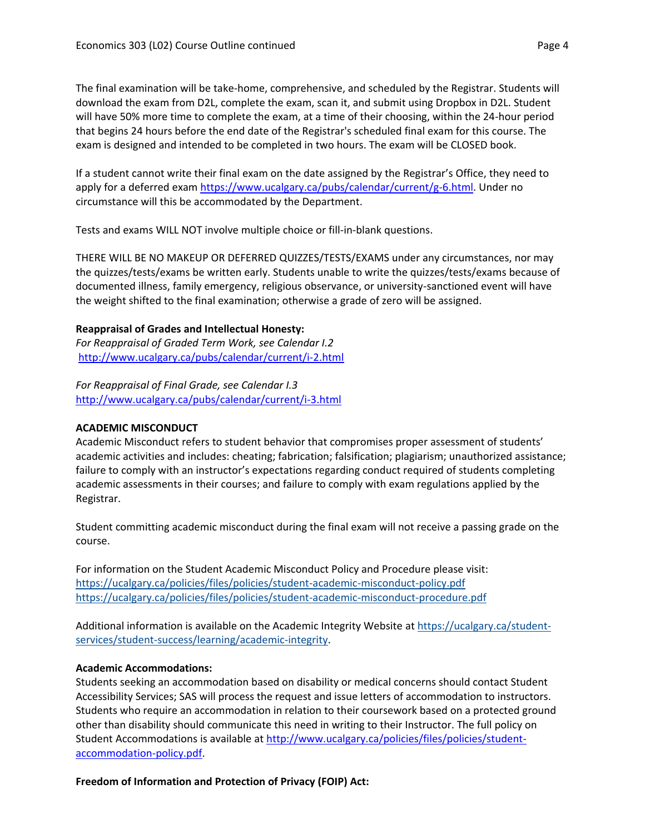The final examination will be take-home, comprehensive, and scheduled by the Registrar. Students will download the exam from D2L, complete the exam, scan it, and submit using Dropbox in D2L. Student will have 50% more time to complete the exam, at a time of their choosing, within the 24-hour period that begins 24 hours before the end date of the Registrar's scheduled final exam for this course. The exam is designed and intended to be completed in two hours. The exam will be CLOSED book.

If a student cannot write their final exam on the date assigned by the Registrar's Office, they need to apply for a deferred exam [https://www.ucalgary.ca/pubs/calendar/current/g-6.html.](https://www.ucalgary.ca/pubs/calendar/current/g-6.html) Under no circumstance will this be accommodated by the Department.

Tests and exams WILL NOT involve multiple choice or fill-in-blank questions.

THERE WILL BE NO MAKEUP OR DEFERRED QUIZZES/TESTS/EXAMS under any circumstances, nor may the quizzes/tests/exams be written early. Students unable to write the quizzes/tests/exams because of documented illness, family emergency, religious observance, or university-sanctioned event will have the weight shifted to the final examination; otherwise a grade of zero will be assigned.

## **Reappraisal of Grades and Intellectual Honesty:**

*For Reappraisal of Graded Term Work, see Calendar I.2* <http://www.ucalgary.ca/pubs/calendar/current/i-2.html>

*For Reappraisal of Final Grade, see Calendar I.3* <http://www.ucalgary.ca/pubs/calendar/current/i-3.html>

# **ACADEMIC MISCONDUCT**

Academic Misconduct refers to student behavior that compromises proper assessment of students' academic activities and includes: cheating; fabrication; falsification; plagiarism; unauthorized assistance; failure to comply with an instructor's expectations regarding conduct required of students completing academic assessments in their courses; and failure to comply with exam regulations applied by the Registrar.

Student committing academic misconduct during the final exam will not receive a passing grade on the course.

For information on the Student Academic Misconduct Policy and Procedure please visit: <https://ucalgary.ca/policies/files/policies/student-academic-misconduct-policy.pdf> <https://ucalgary.ca/policies/files/policies/student-academic-misconduct-procedure.pdf>

Additional information is available on the Academic Integrity Website at [https://ucalgary.ca/student](https://ucalgary.ca/student-services/student-success/learning/academic-integrity)[services/student-success/learning/academic-integrity.](https://ucalgary.ca/student-services/student-success/learning/academic-integrity)

# **Academic Accommodations:**

Students seeking an accommodation based on disability or medical concerns should contact Student Accessibility Services; SAS will process the request and issue letters of accommodation to instructors. Students who require an accommodation in relation to their coursework based on a protected ground other than disability should communicate this need in writing to their Instructor. The full policy on Student Accommodations is available at [http://www.ucalgary.ca/policies/files/policies/student](http://www.ucalgary.ca/policies/files/policies/student-accommodation-policy.pdf)[accommodation-policy.pdf.](http://www.ucalgary.ca/policies/files/policies/student-accommodation-policy.pdf)

**Freedom of Information and Protection of Privacy (FOIP) Act:**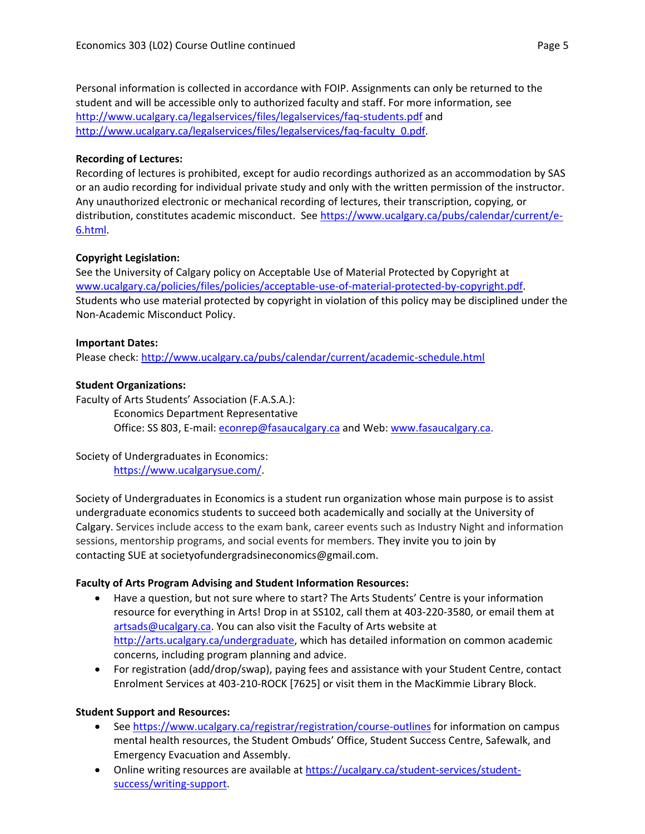Personal information is collected in accordance with FOIP. Assignments can only be returned to the student and will be accessible only to authorized faculty and staff. For more information, see <http://www.ucalgary.ca/legalservices/files/legalservices/faq-students.pdf> and [http://www.ucalgary.ca/legalservices/files/legalservices/faq-faculty\\_0.pdf.](http://www.ucalgary.ca/legalservices/files/legalservices/faq-faculty_0.pdf)

#### **Recording of Lectures:**

Recording of lectures is prohibited, except for audio recordings authorized as an accommodation by SAS or an audio recording for individual private study and only with the written permission of the instructor. Any unauthorized electronic or mechanical recording of lectures, their transcription, copying, or distribution, constitutes academic misconduct. See [https://www.ucalgary.ca/pubs/calendar/current/e-](https://www.ucalgary.ca/pubs/calendar/current/e-6.html)[6.html.](https://www.ucalgary.ca/pubs/calendar/current/e-6.html)

# **Copyright Legislation:**

See the University of Calgary policy on Acceptable Use of Material Protected by Copyright at [www.ucalgary.ca/policies/files/policies/acceptable-use-of-material-protected-by-copyright.pdf.](http://www.ucalgary.ca/policies/files/policies/acceptable-use-of-material-protected-by-copyright.pdf) Students who use material protected by copyright in violation of this policy may be disciplined under the Non-Academic Misconduct Policy.

#### **Important Dates:**

Please check:<http://www.ucalgary.ca/pubs/calendar/current/academic-schedule.html>

## **Student Organizations:**

Faculty of Arts Students' Association (F.A.S.A.): Economics Department Representative Office: SS 803, E-mail: [econrep@fasaucalgary.ca](mailto:econrep@fasaucalgary.ca) and Web: [www.fasaucalgary.ca.](http://www.fasaucalgary.ca/)

#### Society of Undergraduates in Economics: [https://www.ucalgarysue.com/.](https://www.ucalgarysue.com/)

Society of Undergraduates in Economics is a student run organization whose main purpose is to assist undergraduate economics students to succeed both academically and socially at the University of Calgary. Services include access to the exam bank, career events such as Industry Night and information sessions, mentorship programs, and social events for members. They invite you to join by contacting SUE at societyofundergradsineconomics@gmail.com.

#### **Faculty of Arts Program Advising and Student Information Resources:**

- Have a question, but not sure where to start? The Arts Students' Centre is your information resource for everything in Arts! Drop in at SS102, call them at 403-220-3580, or email them at [artsads@ucalgary.ca.](mailto:artsads@ucalgary.ca) You can also visit the Faculty of Arts website at [http://arts.ucalgary.ca/undergraduate,](http://arts.ucalgary.ca/undergraduate) which has detailed information on common academic concerns, including program planning and advice.
- For registration (add/drop/swap), paying fees and assistance with your Student Centre, contact Enrolment Services at 403-210-ROCK [7625] or visit them in the MacKimmie Library Block.

# **Student Support and Resources:**

- See<https://www.ucalgary.ca/registrar/registration/course-outlines> for information on campus mental health resources, the Student Ombuds' Office, Student Success Centre, Safewalk, and Emergency Evacuation and Assembly.
- Online writing resources are available at [https://ucalgary.ca/student-services/student](https://ucalgary.ca/student-services/student-success/writing-support)[success/writing-support.](https://ucalgary.ca/student-services/student-success/writing-support)